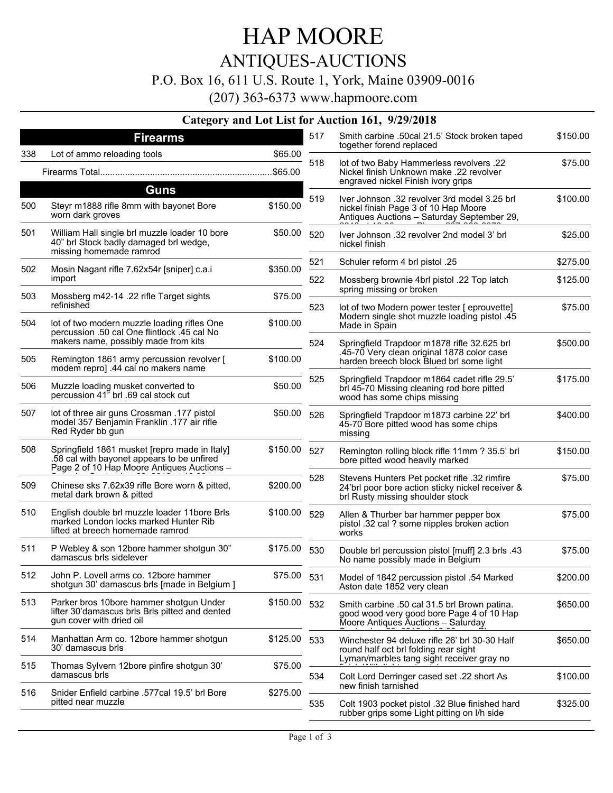# HAP MOORE

ANTIQUES-AUCTIONS

P.O. Box 16, 611 U.S. Route 1, York, Maine 03909-0016

(207) 363-6373 www.hapmoore.com

#### **Category and Lot List for Auction 161, 9/29/2018**

|     | <b>Firearms</b>                                                                                                                           |          | 517                                                                    | Smith carbine .50cal 21.5' Stock broken taped                                                                                        | \$150.00 |
|-----|-------------------------------------------------------------------------------------------------------------------------------------------|----------|------------------------------------------------------------------------|--------------------------------------------------------------------------------------------------------------------------------------|----------|
| 338 | Lot of ammo reloading tools                                                                                                               | \$65.00  |                                                                        | together forend replaced                                                                                                             |          |
|     |                                                                                                                                           |          | 518                                                                    | lot of two Baby Hammerless revolvers .22<br>Nickel finish Unknown make .22 revolver                                                  | \$75.00  |
|     | Guns                                                                                                                                      |          |                                                                        | engraved nickel Finish ivory grips                                                                                                   |          |
| 500 | Steyr m1888 rifle 8mm with bayonet Bore<br>worn dark groves                                                                               | \$150.00 | 519                                                                    | Iver Johnson .32 revolver 3rd model 3.25 brl<br>nickel finish Page 3 of 10 Hap Moore<br>Antiques Auctions - Saturday September 29,   | \$100.00 |
| 501 | William Hall single brl muzzle loader 10 bore<br>40" brl Stock badly damaged brl wedge,<br>missing homemade ramrod                        | \$50.00  | 520                                                                    | Iver Johnson .32 revolver 2nd model 3' brl<br>nickel finish                                                                          | \$25.00  |
| 502 | Mosin Nagant rifle 7.62x54r [sniper] c.a.i                                                                                                | \$350.00 | 521                                                                    | Schuler reform 4 brl pistol .25                                                                                                      | \$275.00 |
|     | import                                                                                                                                    | 522      | Mossberg brownie 4brl pistol .22 Top latch<br>spring missing or broken | \$125.00                                                                                                                             |          |
| 503 | Mossberg m42-14 .22 rifle Target sights<br>refinished                                                                                     | \$75.00  | 523                                                                    | lot of two Modern power tester [ eprouvette]                                                                                         | \$75.00  |
| 504 | lot of two modern muzzle loading rifles One<br>percussion .50 cal One flintlock .45 cal No                                                | \$100.00 |                                                                        | Modern single shot muzzle loading pistol .45<br>Made in Spain                                                                        |          |
|     | makers name, possibly made from kits                                                                                                      |          | 524                                                                    | Springfield Trapdoor m1878 rifle 32.625 brl<br>.45-70 Very clean original 1878 color case                                            | \$500.00 |
| 505 | Remington 1861 army percussion revolver [<br>modem repro] .44 cal no makers name                                                          | \$100.00 |                                                                        | harden breech block Blued brl some light                                                                                             |          |
| 506 | Muzzle loading musket converted to<br>percussion 41" brl .69 cal stock cut                                                                | \$50.00  | 525                                                                    | Springfield Trapdoor m1864 cadet rifle 29.5'<br>brl 45-70 Missing cleaning rod bore pitted<br>wood has some chips missing            | \$175.00 |
| 507 | lot of three air guns Crossman .177 pistol<br>model 357 Benjamin Franklin .177 air rifle<br>Red Ryder bb gun                              | \$50.00  | 526                                                                    | Springfield Trapdoor m1873 carbine 22' brl<br>45-70 Bore pitted wood has some chips<br>missing                                       | \$400.00 |
| 508 | Springfield 1861 musket [repro made in Italy]<br>.58 cal with bayonet appears to be unfired<br>Page 2 of 10 Hap Moore Antiques Auctions - | \$150.00 | 527                                                                    | Remington rolling block rifle 11mm ? 35.5' brl<br>bore pitted wood heavily marked                                                    | \$150.00 |
| 509 | Chinese sks 7.62x39 rifle Bore worn & pitted,<br>metal dark brown & pitted                                                                | \$200.00 | 528                                                                    | Stevens Hunters Pet pocket rifle .32 rimfire<br>24'brl poor bore action sticky nickel receiver &<br>brl Rusty missing shoulder stock | \$75.00  |
| 510 | English double brl muzzle loader 11bore Brls<br>marked London locks marked Hunter Rib<br>lifted at breech homemade ramrod                 | \$100.00 | 529                                                                    | Allen & Thurber bar hammer pepper box<br>pistol .32 cal ? some nipples broken action<br>works                                        | \$75.00  |
| 511 | P Webley & son 12bore hammer shotgun 30"<br>damascus brls sidelever                                                                       | \$175.00 | 530                                                                    | Double brl percussion pistol [muff] 2.3 brls .43<br>No name possibly made in Belgium                                                 | \$75.00  |
| 512 | John P. Lovell arms co. 12bore hammer<br>shotgun 30' damascus brls [made in Belgium ]                                                     | \$75.00  | 531                                                                    | Model of 1842 percussion pistol .54 Marked<br>Aston date 1852 very clean                                                             | \$200.00 |
| 513 | Parker bros 10bore hammer shotgun Under<br>lifter 30'damascus brls Brls pitted and dented<br>gun cover with dried oil                     | \$150.00 | 532                                                                    | Smith carbine .50 cal 31.5 brl Brown patina.<br>good wood very good bore Page 4 of 10 Hap<br>Moore Antiques Auctions - Saturday      | \$650.00 |
| 514 | Manhattan Arm co. 12bore hammer shotgun<br>30' damascus brls                                                                              | \$125.00 | 533                                                                    | Winchester 94 deluxe rifle 26' brl 30-30 Half<br>round half oct brl folding rear sight                                               | \$650.00 |
| 515 | Thomas Sylvern 12bore pinfire shotgun 30'<br>damascus brls                                                                                | \$75.00  | 534                                                                    | Lyman/marbles tang sight receiver gray no<br>Colt Lord Derringer cased set .22 short As<br>new finish tarnished                      | \$100.00 |
|     |                                                                                                                                           |          |                                                                        |                                                                                                                                      |          |
| 516 | Snider Enfield carbine .577cal 19.5' brl Bore<br>pitted near muzzle                                                                       | \$275.00 | 535                                                                    | Colt 1903 pocket pistol .32 Blue finished hard<br>rubber grips some Light pitting on I/h side                                        | \$325.00 |
|     |                                                                                                                                           |          |                                                                        |                                                                                                                                      |          |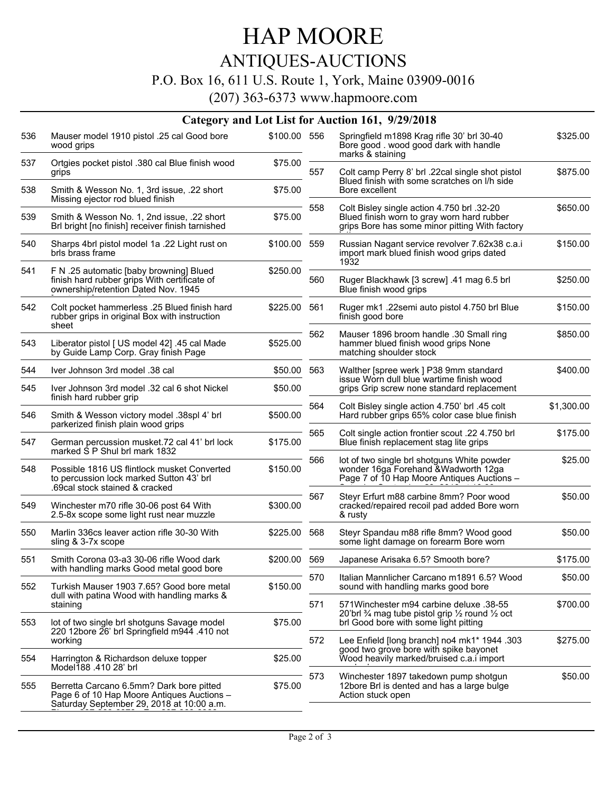## HAP MOORE

### ANTIQUES-AUCTIONS

#### P.O. Box 16, 611 U.S. Route 1, York, Maine 03909-0016

(207) 363-6373 www.hapmoore.com

|     | Category and Lot List for Auction 161, 9/29/2018                                                                                    |              |     |                                                                                                                                            |            |  |  |  |  |
|-----|-------------------------------------------------------------------------------------------------------------------------------------|--------------|-----|--------------------------------------------------------------------------------------------------------------------------------------------|------------|--|--|--|--|
| 536 | Mauser model 1910 pistol .25 cal Good bore<br>wood grips                                                                            | \$100.00 556 |     | Springfield m1898 Krag rifle 30' brl 30-40<br>Bore good . wood good dark with handle<br>marks & staining                                   | \$325.00   |  |  |  |  |
| 537 | Ortgies pocket pistol .380 cal Blue finish wood<br>grips                                                                            | \$75.00      | 557 | Colt camp Perry 8' brl .22cal single shot pistol<br>Blued finish with some scratches on I/h side                                           | \$875.00   |  |  |  |  |
| 538 | Smith & Wesson No. 1, 3rd issue, .22 short<br>Missing ejector rod blued finish                                                      | \$75.00      |     | Bore excellent                                                                                                                             |            |  |  |  |  |
| 539 | Smith & Wesson No. 1, 2nd issue, .22 short<br>Brl bright [no finish] receiver finish tarnished                                      | \$75.00      | 558 | Colt Bisley single action 4.750 brl .32-20<br>Blued finish worn to gray worn hard rubber<br>grips Bore has some minor pitting With factory | \$650.00   |  |  |  |  |
| 540 | Sharps 4brl pistol model 1a .22 Light rust on<br>brls brass frame                                                                   | \$100.00 559 |     | Russian Nagant service revolver 7.62x38 c.a.i<br>import mark blued finish wood grips dated<br>1932                                         | \$150.00   |  |  |  |  |
| 541 | F N .25 automatic [baby browning] Blued<br>finish hard rubber grips With certificate of<br>ownership/retention Dated Nov. 1945      | \$250.00     | 560 | Ruger Blackhawk [3 screw] .41 mag 6.5 brl<br>Blue finish wood grips                                                                        | \$250.00   |  |  |  |  |
| 542 | Colt pocket hammerless .25 Blued finish hard<br>rubber grips in original Box with instruction<br>sheet                              | \$225.00     | 561 | Ruger mk1 .22semi auto pistol 4.750 brl Blue<br>finish good bore                                                                           | \$150.00   |  |  |  |  |
| 543 | Liberator pistol [ US model 42] .45 cal Made<br>by Guide Lamp Corp. Gray finish Page                                                | \$525.00     | 562 | Mauser 1896 broom handle .30 Small ring<br>hammer blued finish wood grips None<br>matching shoulder stock                                  | \$850.00   |  |  |  |  |
| 544 | Iver Johnson 3rd model .38 cal                                                                                                      | \$50.00      | 563 | Walther [spree werk ] P38 9mm standard                                                                                                     | \$400.00   |  |  |  |  |
| 545 | Iver Johnson 3rd model .32 cal 6 shot Nickel<br>finish hard rubber grip                                                             | \$50.00      |     | issue Worn dull blue wartime finish wood<br>grips Grip screw none standard replacement                                                     |            |  |  |  |  |
| 546 | Smith & Wesson victory model .38spl 4' brl<br>parkerized finish plain wood grips                                                    | \$500.00     | 564 | Colt Bisley single action 4.750' brl .45 colt<br>Hard rubber grips 65% color case blue finish                                              | \$1,300.00 |  |  |  |  |
| 547 | German percussion musket.72 cal 41' brl lock<br>marked S P Shul brl mark 1832                                                       | \$175.00     | 565 | Colt single action frontier scout .22 4.750 brl<br>Blue finish replacement stag lite grips                                                 | \$175.00   |  |  |  |  |
| 548 | Possible 1816 US flintlock musket Converted<br>to percussion lock marked Sutton 43' brl<br>.69cal stock stained & cracked           | \$150.00     | 566 | lot of two single brl shotguns White powder<br>wonder 16ga Forehand & Wadworth 12ga<br>Page 7 of 10 Hap Moore Antiques Auctions -          | \$25.00    |  |  |  |  |
| 549 | Winchester m70 rifle 30-06 post 64 With<br>2.5-8x scope some light rust near muzzle                                                 | \$300.00     | 567 | Steyr Erfurt m88 carbine 8mm? Poor wood<br>cracked/repaired recoil pad added Bore worn<br>& rusty                                          | \$50.00    |  |  |  |  |
| 550 | Marlin 336cs leaver action rifle 30-30 With<br>sling & 3-7x scope                                                                   | \$225.00 568 |     | Steyr Spandau m88 rifle 8mm? Wood good<br>some light damage on forearm Bore worn                                                           | \$50.00    |  |  |  |  |
| 551 | Smith Corona 03-a3 30-06 rifle Wood dark                                                                                            | \$200.00 569 |     | Japanese Arisaka 6.5? Smooth bore?                                                                                                         | \$175.00   |  |  |  |  |
| 552 | with handling marks Good metal good bore<br>Turkish Mauser 1903 7.65? Good bore metal                                               | \$150.00     | 570 | Italian Mannlicher Carcano m1891 6.5? Wood<br>sound with handling marks good bore                                                          | \$50.00    |  |  |  |  |
| 553 | dull with patina Wood with handling marks &<br>staining<br>lot of two single brl shotguns Savage model                              | \$75.00      | 571 | 571 Winchester m94 carbine deluxe .38-55<br>20'brl % mag tube pistol grip 1/2 round 1/2 oct<br>brl Good bore with some light pitting       | \$700.00   |  |  |  |  |
|     | 220 12bore 26' brl Springfield m944 .410 not<br>working                                                                             |              | 572 | Lee Enfield [long branch] no4 mk1* 1944.303<br>good two grove bore with spike bayonet<br>Wood heavily marked/bruised c.a.i import          | \$275.00   |  |  |  |  |
| 554 | Harrington & Richardson deluxe topper<br>Model188 .410 28' brl                                                                      | \$25.00      |     |                                                                                                                                            |            |  |  |  |  |
| 555 | Berretta Carcano 6.5mm? Dark bore pitted<br>Page 6 of 10 Hap Moore Antiques Auctions -<br>Saturday September 29, 2018 at 10:00 a.m. | \$75.00      | 573 | Winchester 1897 takedown pump shotqun<br>12bore Brl is dented and has a large bulge<br>Action stuck open                                   | \$50.00    |  |  |  |  |
|     |                                                                                                                                     |              |     |                                                                                                                                            |            |  |  |  |  |